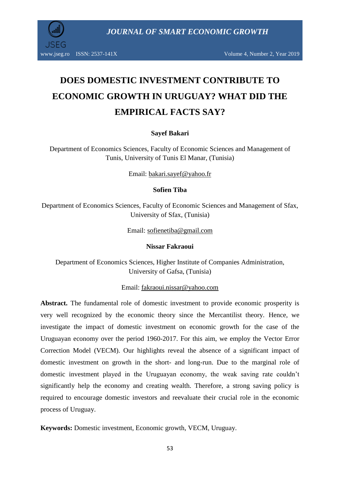

www.jseg.ro ISSN: 2537-141X Volume 4, Number 2, Year 2019

# **DOES DOMESTIC INVESTMENT CONTRIBUTE TO ECONOMIC GROWTH IN URUGUAY? WHAT DID THE EMPIRICAL FACTS SAY?**

#### **Sayef Bakari**

Department of Economics Sciences, Faculty of Economic Sciences and Management of Tunis, University of Tunis El Manar, (Tunisia)

Email: [bakari.sayef@yahoo.fr](mailto:bakari.sayef@yahoo.fr)

#### **Sofien Tiba**

Department of Economics Sciences, Faculty of Economic Sciences and Management of Sfax, University of Sfax, (Tunisia)

Email: [sofienetiba@gmail.com](mailto:sofienetiba@gmail.com)

#### **Nissar Fakraoui**

Department of Economics Sciences, Higher Institute of Companies Administration, University of Gafsa, (Tunisia)

#### Email: [fakraoui.nissar@yahoo.com](mailto:fakraoui.nissar@yahoo.com)

**Abstract.** The fundamental role of domestic investment to provide economic prosperity is very well recognized by the economic theory since the Mercantilist theory. Hence, we investigate the impact of domestic investment on economic growth for the case of the Uruguayan economy over the period 1960-2017. For this aim, we employ the Vector Error Correction Model (VECM). Our highlights reveal the absence of a significant impact of domestic investment on growth in the short- and long-run. Due to the marginal role of domestic investment played in the Uruguayan economy, the weak saving rate couldn"t significantly help the economy and creating wealth. Therefore, a strong saving policy is required to encourage domestic investors and reevaluate their crucial role in the economic process of Uruguay.

**Keywords:** Domestic investment, Economic growth, VECM, Uruguay.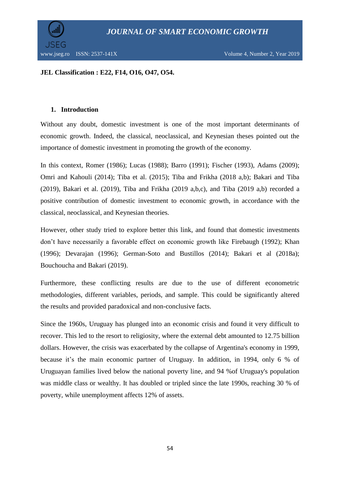

#### **JEL Classification : E22, F14, O16, O47, O54.**

#### **1. Introduction**

Without any doubt, domestic investment is one of the most important determinants of economic growth. Indeed, the classical, neoclassical, and Keynesian theses pointed out the importance of domestic investment in promoting the growth of the economy.

In this context, Romer (1986); Lucas (1988); Barro (1991); Fischer (1993), Adams (2009); Omri and Kahouli (2014); Tiba et al. (2015); Tiba and Frikha (2018 a,b); Bakari and Tiba (2019), Bakari et al. (2019), Tiba and Frikha (2019 a,b,c), and Tiba (2019 a,b) recorded a positive contribution of domestic investment to economic growth, in accordance with the classical, neoclassical, and Keynesian theories.

However, other study tried to explore better this link, and found that domestic investments don"t have necessarily a favorable effect on economic growth like Firebaugh (1992); Khan (1996); Devarajan (1996); German-Soto and Bustillos (2014); Bakari et al (2018a); Bouchoucha and Bakari (2019).

Furthermore, these conflicting results are due to the use of different econometric methodologies, different variables, periods, and sample. This could be significantly altered the results and provided paradoxical and non-conclusive facts.

Since the 1960s, Uruguay has plunged into an economic crisis and found it very difficult to recover. This led to the resort to religiosity, where the external debt amounted to 12.75 billion dollars. However, the crisis was exacerbated by the collapse of Argentina's economy in 1999, because it's the main economic partner of Uruguay. In addition, in 1994, only 6 % of Uruguayan families lived below the national poverty line, and 94 %of Uruguay's population was middle class or wealthy. It has doubled or tripled since the late 1990s, reaching 30 % of poverty, while unemployment affects 12% of assets.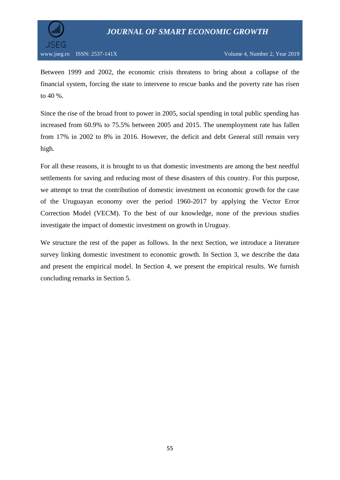

Between 1999 and 2002, the economic crisis threatens to bring about a collapse of the financial system, forcing the state to intervene to rescue banks and the poverty rate has risen to 40 %.

Since the rise of the broad front to power in 2005, social spending in total public spending has increased from 60.9% to 75.5% between 2005 and 2015. The unemployment rate has fallen from 17% in 2002 to 8% in 2016. However, the deficit and debt General still remain very high.

For all these reasons, it is brought to us that domestic investments are among the best needful settlements for saving and reducing most of these disasters of this country. For this purpose, we attempt to treat the contribution of domestic investment on economic growth for the case of the Uruguayan economy over the period 1960-2017 by applying the Vector Error Correction Model (VECM). To the best of our knowledge, none of the previous studies investigate the impact of domestic investment on growth in Uruguay.

We structure the rest of the paper as follows. In the next Section, we introduce a literature survey linking domestic investment to economic growth. In Section 3, we describe the data and present the empirical model. In Section 4, we present the empirical results. We furnish concluding remarks in Section 5.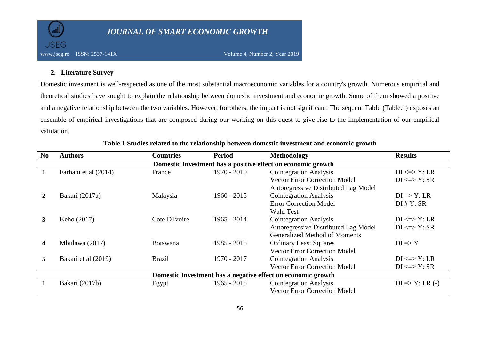

#### **2. Literature Survey**

Domestic investment is well-respected as one of the most substantial macroeconomic variables for a country's growth. Numerous empirical and theoretical studies have sought to explain the relationship between domestic investment and economic growth. Some of them showed a positive and a negative relationship between the two variables. However, for others, the impact is not significant. The sequent Table (Table.1) exposes an ensemble of empirical investigations that are composed during our working on this quest to give rise to the implementation of our empirical validation.

| N <sub>0</sub> | <b>Authors</b>                                               | <b>Countries</b> | <b>Period</b> | Methodology                                                  | <b>Results</b>            |  |  |  |  |  |
|----------------|--------------------------------------------------------------|------------------|---------------|--------------------------------------------------------------|---------------------------|--|--|--|--|--|
|                | Domestic Investment has a positive effect on economic growth |                  |               |                                                              |                           |  |  |  |  |  |
|                | Farhani et al (2014)                                         | France           | 1970 - 2010   | <b>Cointegration Analysis</b>                                | $DI \leq Y$ : LR          |  |  |  |  |  |
|                |                                                              |                  |               | <b>Vector Error Correction Model</b>                         | $DI \leq > Y$ : SR        |  |  |  |  |  |
|                |                                                              |                  |               | Autoregressive Distributed Lag Model                         |                           |  |  |  |  |  |
|                | Bakari (2017a)                                               | Malaysia         | $1960 - 2015$ | <b>Cointegration Analysis</b>                                | $DI \Rightarrow Y: LR$    |  |  |  |  |  |
|                |                                                              |                  |               | <b>Error Correction Model</b>                                | $DI$ # $Y: SR$            |  |  |  |  |  |
|                |                                                              |                  |               | <b>Wald Test</b>                                             |                           |  |  |  |  |  |
| 3              | Keho (2017)                                                  | Cote D'Ivoire    | $1965 - 2014$ | <b>Cointegration Analysis</b>                                | $DI \leq Y$ : LR          |  |  |  |  |  |
|                |                                                              |                  |               | Autoregressive Distributed Lag Model                         | $DI \leq Y: SR$           |  |  |  |  |  |
|                |                                                              |                  |               | <b>Generalized Method of Moments</b>                         |                           |  |  |  |  |  |
| 4              | Mbulawa (2017)                                               | <b>Botswana</b>  | 1985 - 2015   | <b>Ordinary Least Squares</b>                                | $DI \Rightarrow Y$        |  |  |  |  |  |
|                |                                                              |                  |               | <b>Vector Error Correction Model</b>                         |                           |  |  |  |  |  |
| 5              | Bakari et al (2019)                                          | <b>Brazil</b>    | 1970 - 2017   | <b>Cointegration Analysis</b>                                | $DI \leq Y$ : LR          |  |  |  |  |  |
|                |                                                              |                  |               | <b>Vector Error Correction Model</b>                         | $DI \leq > Y$ : SR        |  |  |  |  |  |
|                |                                                              |                  |               | Domestic Investment has a negative effect on economic growth |                           |  |  |  |  |  |
|                | Bakari (2017b)                                               | Egypt            | $1965 - 2015$ | <b>Cointegration Analysis</b>                                | $DI \Rightarrow Y: LR(.)$ |  |  |  |  |  |
|                |                                                              |                  |               | <b>Vector Error Correction Model</b>                         |                           |  |  |  |  |  |

#### **Table 1 Studies related to the relationship between domestic investment and economic growth**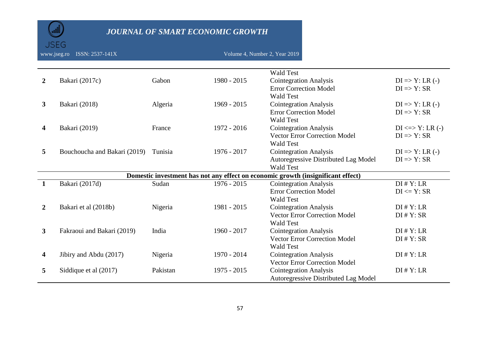www.jseg.ro ISSN: 2537-141X Volume 4, Number 2, Year 2019

**JSEG** 

|                |                              |          |               | <b>Wald Test</b>                                                                 |                            |
|----------------|------------------------------|----------|---------------|----------------------------------------------------------------------------------|----------------------------|
| $\overline{2}$ | Bakari (2017c)               | Gabon    | 1980 - 2015   | <b>Cointegration Analysis</b>                                                    | $DI \Rightarrow Y: LR (-)$ |
|                |                              |          |               | <b>Error Correction Model</b>                                                    | $DI \Rightarrow Y: SR$     |
|                |                              |          |               | <b>Wald Test</b>                                                                 |                            |
| $\mathbf{3}$   | Bakari (2018)                | Algeria  | $1969 - 2015$ | <b>Cointegration Analysis</b>                                                    | $DI \Rightarrow Y: LR(.)$  |
|                |                              |          |               | <b>Error Correction Model</b>                                                    | $DI \Rightarrow Y: SR$     |
|                |                              |          |               | <b>Wald Test</b>                                                                 |                            |
| 4              | Bakari (2019)                | France   | 1972 - 2016   | <b>Cointegration Analysis</b>                                                    | $DI \le y$ : LR $(-)$      |
|                |                              |          |               | <b>Vector Error Correction Model</b>                                             | $DI \Rightarrow Y: SR$     |
|                |                              |          |               | <b>Wald Test</b>                                                                 |                            |
| 5              | Bouchoucha and Bakari (2019) | Tunisia  | $1976 - 2017$ | <b>Cointegration Analysis</b>                                                    | $DI \Rightarrow Y: LR (-)$ |
|                |                              |          |               | Autoregressive Distributed Lag Model                                             | $DI \Rightarrow Y: SR$     |
|                |                              |          |               | <b>Wald Test</b>                                                                 |                            |
|                |                              |          |               | Domestic investment has not any effect on economic growth (insignificant effect) |                            |
|                | Bakari (2017d)               | Sudan    | $1976 - 2015$ | <b>Cointegration Analysis</b>                                                    | $DI$ # $Y: LR$             |
|                |                              |          |               | <b>Error Correction Model</b>                                                    | $DI \leq Y$ : SR           |
|                |                              |          |               | <b>Wald Test</b>                                                                 |                            |
| $\mathbf{2}$   | Bakari et al (2018b)         | Nigeria  | 1981 - 2015   | <b>Cointegration Analysis</b>                                                    | $DI$ # $Y: LR$             |
|                |                              |          |               | <b>Vector Error Correction Model</b>                                             | $DI$ # $Y: SR$             |
|                |                              |          |               | <b>Wald Test</b>                                                                 |                            |
| 3              | Fakraoui and Bakari (2019)   | India    | 1960 - 2017   | <b>Cointegration Analysis</b>                                                    | $DI$ # $Y: LR$             |
|                |                              |          |               | <b>Vector Error Correction Model</b>                                             | $DI$ # $Y: SR$             |
|                |                              |          |               | <b>Wald Test</b>                                                                 |                            |
| 4              | Jibiry and Abdu (2017)       | Nigeria  | 1970 - 2014   | <b>Cointegration Analysis</b>                                                    | $DI$ # $Y: LR$             |
|                |                              |          |               | <b>Vector Error Correction Model</b>                                             |                            |
| 5              | Siddique et al (2017)        | Pakistan | $1975 - 2015$ | <b>Cointegration Analysis</b>                                                    | $DI$ # $Y: LR$             |
|                |                              |          |               | Autoregressive Distributed Lag Model                                             |                            |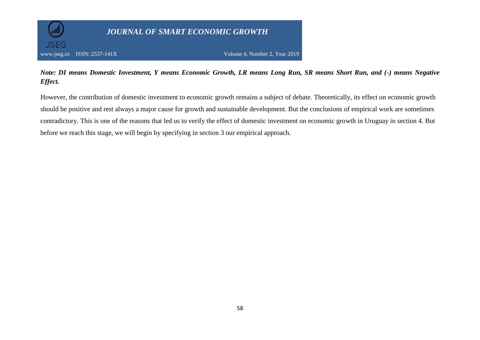

#### *Note: DI means Domestic Investment, Y means Economic Growth, LR means Long Run, SR means Short Run, and (-) means Negative Effect.*

However, the contribution of domestic investment to economic growth remains a subject of debate. Theoretically, its effect on economic growth should be positive and rest always a major cause for growth and sustainable development. But the conclusions of empirical work are sometimes contradictory. This is one of the reasons that led us to verify the effect of domestic investment on economic growth in Uruguay in section 4. But before we reach this stage, we will begin by specifying in section 3 our empirical approach.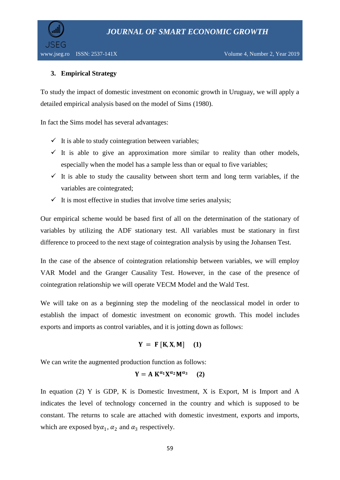

#### **3. Empirical Strategy**

To study the impact of domestic investment on economic growth in Uruguay, we will apply a detailed empirical analysis based on the model of Sims (1980).

In fact the Sims model has several advantages:

- $\checkmark$  It is able to study cointegration between variables;
- $\checkmark$  It is able to give an approximation more similar to reality than other models, especially when the model has a sample less than or equal to five variables;
- $\checkmark$  It is able to study the causality between short term and long term variables, if the variables are cointegrated;
- $\checkmark$  It is most effective in studies that involve time series analysis;

Our empirical scheme would be based first of all on the determination of the stationary of variables by utilizing the ADF stationary test. All variables must be stationary in first difference to proceed to the next stage of cointegration analysis by using the Johansen Test.

In the case of the absence of cointegration relationship between variables, we will employ VAR Model and the Granger Causality Test. However, in the case of the presence of cointegration relationship we will operate VECM Model and the Wald Test.

We will take on as a beginning step the modeling of the neoclassical model in order to establish the impact of domestic investment on economic growth. This model includes exports and imports as control variables, and it is jotting down as follows:

$$
Y = F [K, X, M] \quad (1)
$$

We can write the augmented production function as follows:

$$
Y = A K^{\alpha_1} X^{\alpha_2} M^{\alpha_3} \qquad (2)
$$

In equation (2) Y is GDP, K is Domestic Investment, X is Export, M is Import and A indicates the level of technology concerned in the country and which is supposed to be constant. The returns to scale are attached with domestic investment, exports and imports, which are exposed by  $\alpha_1$ ,  $\alpha_2$  and  $\alpha_3$  respectively.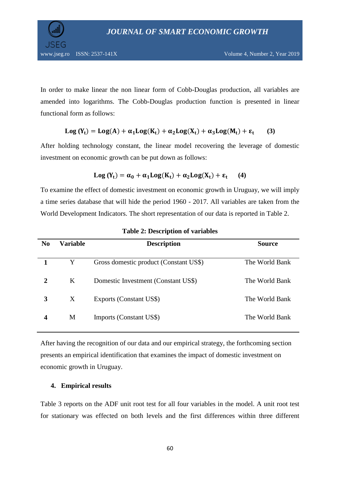In order to make linear the non linear form of Cobb-Douglas production, all variables are amended into logarithms. The Cobb-Douglas production function is presented in linear functional form as follows:

#### $Log(Y_t) = Log(A) + \alpha_1 Log(K_t) + \alpha_2 Log(X_t) + \alpha_3 Log(M_t) + \epsilon_t$ **(3)**

After holding technology constant, the linear model recovering the leverage of domestic investment on economic growth can be put down as follows:

$$
Log(Y_t) = \alpha_0 + \alpha_1 Log(K_t) + \alpha_2 Log(X_t) + \epsilon_t
$$
 (4)

To examine the effect of domestic investment on economic growth in Uruguay, we will imply a time series database that will hide the period 1960 - 2017. All variables are taken from the World Development Indicators. The short representation of our data is reported in Table 2.

| N <sub>0</sub> | <b>Variable</b> | <b>Description</b>                     | Source         |
|----------------|-----------------|----------------------------------------|----------------|
|                | Y               | Gross domestic product (Constant US\$) | The World Bank |
| 2              | K               | Domestic Investment (Constant US\$)    | The World Bank |
| 3              | X               | Exports (Constant US\$)                | The World Bank |
| 4              | M               | Imports (Constant US\$)                | The World Bank |

**Table 2: Description of variables**

After having the recognition of our data and our empirical strategy, the forthcoming section presents an empirical identification that examines the impact of domestic investment on economic growth in Uruguay.

#### **4. Empirical results**

Table 3 reports on the ADF unit root test for all four variables in the model. A unit root test for stationary was effected on both levels and the first differences within three different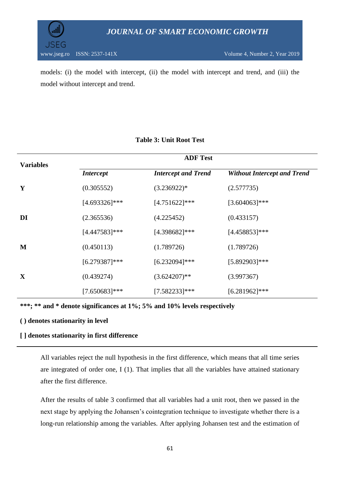



models: (i) the model with intercept, (ii) the model with intercept and trend, and (iii) the model without intercept and trend.

| <b>Variables</b> |                  | <b>ADF Test</b>            |                                    |  |  |  |  |  |
|------------------|------------------|----------------------------|------------------------------------|--|--|--|--|--|
|                  | <i>Intercept</i> | <b>Intercept and Trend</b> | <b>Without Intercept and Trend</b> |  |  |  |  |  |
| Y                | (0.305552)       | $(3.236922)*$              | (2.577735)                         |  |  |  |  |  |
|                  | $[4.693326]$ *** | $[4.751622]$ ***           | $[3.604063]$ ***                   |  |  |  |  |  |
| DI               | (2.365536)       | (4.225452)                 | (0.433157)                         |  |  |  |  |  |
|                  | $[4.447583]$ *** | $[4.398682]$ ***           | $[4.458853]$ ***                   |  |  |  |  |  |
| M                | (0.450113)       | (1.789726)                 | (1.789726)                         |  |  |  |  |  |
|                  | $[6.279387]$ *** | $[6.232094]$ ***           | $[5.892903]$ ***                   |  |  |  |  |  |
| X                | (0.439274)       | $(3.624207)$ **            | (3.997367)                         |  |  |  |  |  |
|                  | $[7.650683]$ *** | $[7.582233]***$            | $[6.281962]$ ***                   |  |  |  |  |  |

#### **Table 3: Unit Root Test**

**\*\*\*; \*\* and \* denote significances at 1%; 5% and 10% levels respectively**

#### **( ) denotes stationarity in level**

#### **[ ] denotes stationarity in first difference**

All variables reject the null hypothesis in the first difference, which means that all time series are integrated of order one, I (1). That implies that all the variables have attained stationary after the first difference.

After the results of table 3 confirmed that all variables had a unit root, then we passed in the next stage by applying the Johansen's cointegration technique to investigate whether there is a long-run relationship among the variables. After applying Johansen test and the estimation of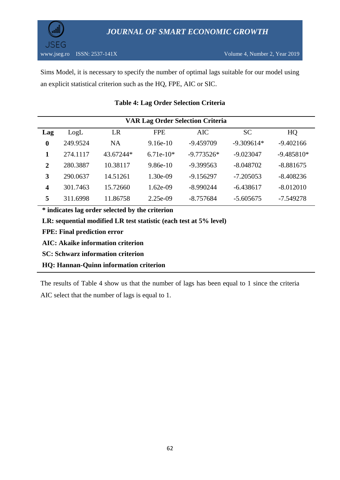

Sims Model, it is necessary to specify the number of optimal lags suitable for our model using an explicit statistical criterion such as the HQ, FPE, AIC or SIC.

| <b>VAR Lag Order Selection Criteria</b> |          |           |             |              |              |              |  |  |  |  |
|-----------------------------------------|----------|-----------|-------------|--------------|--------------|--------------|--|--|--|--|
| Lag                                     | LogL     | LR        | <b>FPE</b>  | AIC          | <b>SC</b>    | HQ           |  |  |  |  |
| $\bf{0}$                                | 249.9524 | <b>NA</b> | $9.16e-10$  | $-9.459709$  | $-9.309614*$ | $-9.402166$  |  |  |  |  |
| 1                                       | 274.1117 | 43.67244* | $6.71e-10*$ | $-9.773526*$ | $-9.023047$  | $-9.485810*$ |  |  |  |  |
| $\overline{2}$                          | 280.3887 | 10.38117  | $9.86e-10$  | $-9.399563$  | $-8.048702$  | $-8.881675$  |  |  |  |  |
| 3                                       | 290.0637 | 14.51261  | 1.30e-09    | $-9.156297$  | $-7.205053$  | $-8.408236$  |  |  |  |  |
| $\overline{\mathbf{4}}$                 | 301.7463 | 15.72660  | $1.62e-09$  | $-8.990244$  | $-6.438617$  | $-8.012010$  |  |  |  |  |
| 5                                       | 311.6998 | 11.86758  | $2.25e-09$  | $-8.757684$  | $-5.605675$  | $-7.549278$  |  |  |  |  |

#### **Table 4: Lag Order Selection Criteria**

**\* indicates lag order selected by the criterion**

**LR: sequential modified LR test statistic (each test at 5% level)**

**FPE: Final prediction error**

**AIC: Akaike information criterion**

**SC: Schwarz information criterion**

**HQ: Hannan-Quinn information criterion**

The results of Table 4 show us that the number of lags has been equal to 1 since the criteria AIC select that the number of lags is equal to 1.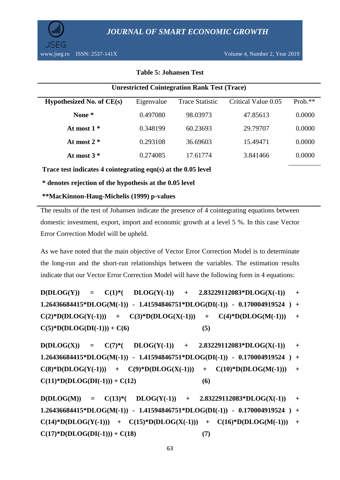

#### **Table 5: Johansen Test**

| <b>Unrestricted Cointegration Rank Test (Trace)</b> |            |                        |                     |           |  |  |  |  |  |
|-----------------------------------------------------|------------|------------------------|---------------------|-----------|--|--|--|--|--|
| Hypothesized No. of $CE(s)$                         | Eigenvalue | <b>Trace Statistic</b> | Critical Value 0.05 | $Prob.**$ |  |  |  |  |  |
| None *                                              | 0.497080   | 98.03973               | 47.85613            | 0.0000    |  |  |  |  |  |
| At most $1*$                                        | 0.348199   | 60.23693               | 29.79707            | 0.0000    |  |  |  |  |  |
| At most $2*$                                        | 0.293108   | 36.69603               | 15.49471            | 0.0000    |  |  |  |  |  |
| At most $3*$                                        | 0.274085   | 17.61774               | 3.841466            | 0.0000    |  |  |  |  |  |

**Trace test indicates 4 cointegrating eqn(s) at the 0.05 level**

**\* denotes rejection of the hypothesis at the 0.05 level**

#### **\*\*MacKinnon-Haug-Michelis (1999) p-values**

The results of the test of Johansen indicate the presence of 4 cointegrating equations between domestic investment, export, import and economic growth at a level 5 %. In this case Vector Error Correction Model will be upheld.

As we have noted that the main objective of Vector Error Correction Model is to determinate the long-run and the short-run relationships between the variables. The estimation results indicate that our Vector Error Correction Model will have the following form in 4 equations:

 $D(DLOG(Y)) = C(1)^*(-DLOG(Y(-1))) + 2.83229112083*DLOG(X(-1))) +$ **1.26436684415\*DLOG(M(-1)) - 1.41594846751\*DLOG(DI(-1)) - 0.170004919524 ) +**   $C(2)*D(DLOG(Y(-1)))$  +  $C(3)*D(DLOG(X(-1)))$  +  $C(4)*D(DLOG(M(-1)))$  +  $C(5)*D(DLOG(DI(-1))) + C(6)$  (5)

 $D(DLOG(X)) = C(7)*$   $(DLOG(Y(-1)) + 2.83229112083*DLOG(X(-1)) +$ **1.26436684415\*DLOG(M(-1)) - 1.41594846751\*DLOG(DI(-1)) - 0.170004919524 ) +**   $C(8)*D(DLOG(Y(-1)))$  +  $C(9)*D(DLOG(X(-1)))$  +  $C(10)*D(DLOG(M(-1)))$  +  $C(11)*D(DLOG(DI(-1))) + C(12)$  (6)

 $D(DLOG(M)) = C(13)*$   $DLOG(Y(-1)) + 2.83229112083*DLOG(X(-1)) + 12.83229112083*DLOG(X(-1))$ **1.26436684415\*DLOG(M(-1)) - 1.41594846751\*DLOG(DI(-1)) - 0.170004919524 ) +**   $C(14)*D(DLOG(Y(-1))) + C(15)*D(DLOG(X(-1))) + C(16)*D(DLOG(M(-1))) +$  $C(17)*D(DLOG(DI(-1))) + C(18)$  (7)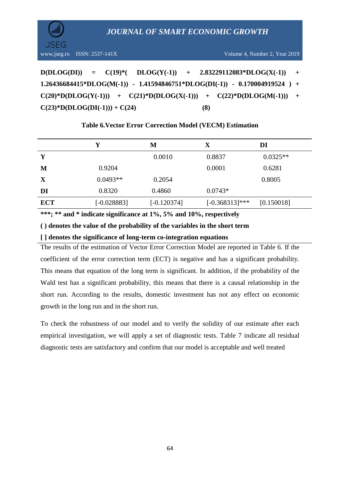

 $D(DLOG(DI)) = C(19)*$ <br>(DLOG(Y(-1)) + 2.83229112083\*DLOG(X(-1)) + **1.26436684415\*DLOG(M(-1)) - 1.41594846751\*DLOG(DI(-1)) - 0.170004919524 ) +**   $C(20) * D(DLOG(Y(-1))) + C(21) * D(DLOG(X(-1))) + C(22) * D(DLOG(M(-1))) +$  $C(23)*D(DLOG(DI(-1))) + C(24)$  (8)

|            | Y             | М             | $\mathbf X$       | DI         |
|------------|---------------|---------------|-------------------|------------|
| Y          |               | 0.0010        | 0.8837            | $0.0325**$ |
| M          | 0.9204        |               | 0.0001            | 0.6281     |
| X          | $0.0493**$    | 0.2054        |                   | 0.8005     |
| DI         | 0.8320        | 0.4860        | $0.0743*$         |            |
| <b>ECT</b> | $[-0.028883]$ | $[-0.120374]$ | $[-0.368313]$ *** | [0.150018] |

#### **Table 6.Vector Error Correction Model (VECM) Estimation**

**\*\*\*; \*\* and \* indicate significance at 1%, 5% and 10%, respectively**

**( ) denotes the value of the probability of the variables in the short term**

**[ ] denotes the significance of long-term co-integration equations** 

The results of the estimation of Vector Error Correction Model are reported in Table 6. If the coefficient of the error correction term (ECT) is negative and has a significant probability. This means that equation of the long term is significant. In addition, if the probability of the Wald test has a significant probability, this means that there is a causal relationship in the short run. According to the results, domestic investment has not any effect on economic growth in the long run and in the short run.

To check the robustness of our model and to verify the solidity of our estimate after each empirical investigation, we will apply a set of diagnostic tests. Table 7 indicate all residual diagnostic tests are satisfactory and confirm that our model is acceptable and well treated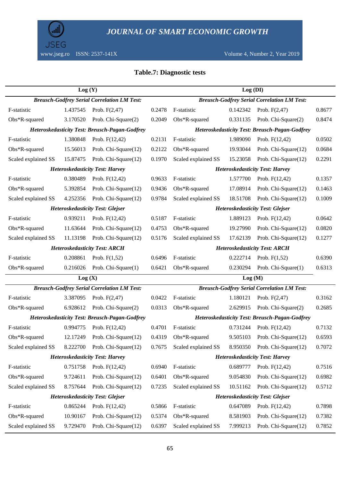

#### **Table.7: Diagnostic tests**

|                                        | Log(Y)   | Log (DI)                                              |        |                                      |          |                                                       |        |
|----------------------------------------|----------|-------------------------------------------------------|--------|--------------------------------------|----------|-------------------------------------------------------|--------|
|                                        |          | <b>Breusch-Godfrey Serial Correlation LM Test:</b>    |        |                                      |          | <b>Breusch-Godfrey Serial Correlation LM Test:</b>    |        |
| F-statistic                            | 1.437545 | Prob. $F(2,47)$                                       | 0.2478 | F-statistic                          | 0.142342 | Prob. $F(2,47)$                                       | 0.8677 |
| Obs*R-squared                          | 3.170520 | Prob. Chi-Square(2)                                   | 0.2049 | Obs*R-squared                        | 0.331135 | Prob. Chi-Square(2)                                   | 0.8474 |
|                                        |          | <b>Heteroskedasticity Test: Breusch-Pagan-Godfrey</b> |        |                                      |          | <b>Heteroskedasticity Test: Breusch-Pagan-Godfrey</b> |        |
| F-statistic                            | 1.380848 | Prob. $F(12,42)$                                      | 0.2131 | F-statistic                          | 1.989090 | Prob. $F(12,42)$                                      | 0.0502 |
| Obs*R-squared                          | 15.56013 | Prob. Chi-Square(12)                                  | 0.2122 | Obs*R-squared                        | 19.93044 | Prob. Chi-Square(12)                                  | 0.0684 |
| Scaled explained SS                    | 15.87475 | Prob. Chi-Square(12)                                  | 0.1970 | Scaled explained SS                  | 15.23058 | Prob. Chi-Square(12)                                  | 0.2291 |
|                                        |          | <b>Heteroskedasticity Test: Harvey</b>                |        |                                      |          | <b>Heteroskedasticity Test: Harvey</b>                |        |
| F-statistic                            | 0.380489 | Prob. $F(12,42)$                                      | 0.9633 | F-statistic                          | 1.577700 | Prob. $F(12,42)$                                      | 0.1357 |
| Obs*R-squared                          | 5.392854 | Prob. Chi-Square(12)                                  | 0.9436 | Obs*R-squared                        | 17.08914 | Prob. Chi-Square(12)                                  | 0.1463 |
| Scaled explained SS                    | 4.252356 | Prob. Chi-Square(12)                                  | 0.9784 | Scaled explained SS                  | 18.51708 | Prob. Chi-Square(12)                                  | 0.1009 |
|                                        |          | <b>Heteroskedasticity Test: Glejser</b>               |        |                                      |          | <b>Heteroskedasticity Test: Glejser</b>               |        |
| F-statistic                            | 0.939211 | Prob. $F(12,42)$                                      | 0.5187 | F-statistic                          | 1.889123 | Prob. $F(12,42)$                                      | 0.0642 |
| Obs*R-squared                          | 11.63644 | Prob. Chi-Square(12)                                  | 0.4753 | Obs*R-squared                        | 19.27990 | Prob. Chi-Square(12)                                  | 0.0820 |
| Scaled explained SS                    | 11.13198 | Prob. Chi-Square(12)                                  | 0.5176 | Scaled explained SS                  | 17.62139 | Prob. Chi-Square(12)                                  | 0.1277 |
| <b>Heteroskedasticity Test: ARCH</b>   |          |                                                       |        | <b>Heteroskedasticity Test: ARCH</b> |          |                                                       |        |
| F-statistic                            | 0.208861 | Prob. $F(1,52)$                                       | 0.6496 | F-statistic                          | 0.222714 | Prob. $F(1,52)$                                       | 0.6390 |
| Obs*R-squared                          | 0.216026 | Prob. Chi-Square(1)                                   | 0.6421 | Obs*R-squared                        | 0.230294 | Prob. Chi-Square(1)                                   | 0.6313 |
|                                        | Log(X)   |                                                       |        |                                      | Log(M)   |                                                       |        |
|                                        |          | <b>Breusch-Godfrey Serial Correlation LM Test:</b>    |        |                                      |          | <b>Breusch-Godfrey Serial Correlation LM Test:</b>    |        |
| F-statistic                            | 3.387095 | Prob. $F(2,47)$                                       | 0.0422 | F-statistic                          | 1.180121 | Prob. $F(2,47)$                                       | 0.3162 |
| Obs*R-squared                          | 6.928612 | Prob. Chi-Square(2)                                   | 0.0313 | Obs*R-squared                        | 2.629915 | Prob. Chi-Square(2)                                   | 0.2685 |
|                                        |          | <b>Heteroskedasticity Test: Breusch-Pagan-Godfrey</b> |        |                                      |          | Heteroskedasticity Test: Breusch-Pagan-Godfrey        |        |
| F-statistic                            | 0.994775 | Prob. $F(12,42)$                                      | 0.4701 | F-statistic                          | 0.731244 | Prob. $F(12,42)$                                      | 0.7132 |
| Obs*R-squared                          | 12.17249 | Prob. Chi-Square(12)                                  | 0.4319 | Obs*R-squared                        | 9.505103 | Prob. Chi-Square(12)                                  | 0.6593 |
| Scaled explained SS                    |          | 8.222700 Prob. Chi-Square(12)                         | 0.7675 | Scaled explained SS                  |          | 8.950350 Prob. Chi-Square(12)                         | 0.7072 |
| <b>Heteroskedasticity Test: Harvey</b> |          |                                                       |        |                                      |          | <b>Heteroskedasticity Test: Harvey</b>                |        |
| F-statistic                            | 0.751758 | Prob. $F(12,42)$                                      | 0.6940 | F-statistic                          | 0.689777 | Prob. $F(12,42)$                                      | 0.7516 |
| Obs*R-squared                          | 9.724611 | Prob. Chi-Square(12)                                  | 0.6401 | Obs*R-squared                        | 9.054830 | Prob. Chi-Square(12)                                  | 0.6982 |
| Scaled explained SS                    | 8.757644 | Prob. Chi-Square(12)                                  | 0.7235 | Scaled explained SS                  | 10.51162 | Prob. Chi-Square(12)                                  | 0.5712 |
|                                        |          | <b>Heteroskedasticity Test: Glejser</b>               |        |                                      |          | <b>Heteroskedasticity Test: Glejser</b>               |        |
| F-statistic                            | 0.865244 | Prob. $F(12,42)$                                      | 0.5866 | F-statistic                          | 0.647089 | Prob. $F(12,42)$                                      | 0.7898 |
| Obs*R-squared                          | 10.90167 | Prob. Chi-Square(12)                                  | 0.5374 | Obs*R-squared                        | 8.581903 | Prob. Chi-Square(12)                                  | 0.7382 |
| Scaled explained SS                    | 9.729470 | Prob. Chi-Square(12)                                  | 0.6397 | Scaled explained SS                  | 7.999213 | Prob. Chi-Square(12)                                  | 0.7852 |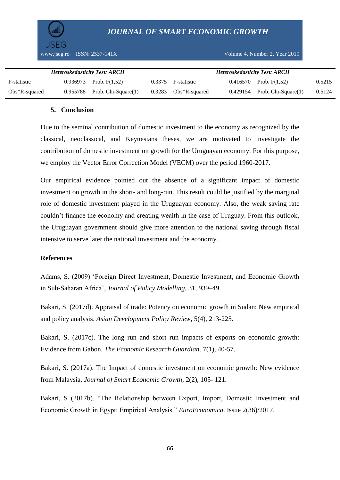www.jseg.ro ISSN: 2537-141X Volume 4, Number 2, Year 2019

| <b>Heteroskedasticity Test: ARCH</b> |  |                                   |  |                        | <b>Heteroskedasticity Test: ARCH</b> |                                   |        |
|--------------------------------------|--|-----------------------------------|--|------------------------|--------------------------------------|-----------------------------------|--------|
| F-statistic                          |  | $0.936973$ Prob. F(1.52)          |  | 0.3375 F-statistic     |                                      | $0.416570$ Prob. F(1.52)          | 0.5215 |
| $Obs^*R$ -squared                    |  | $0.955788$ Prob. Chi-Square $(1)$ |  | $0.3283$ Obs*R-squared |                                      | $0.429154$ Prob. Chi-Square $(1)$ | 0.5124 |

#### **5. Conclusion**

Due to the seminal contribution of domestic investment to the economy as recognized by the classical, neoclassical, and Keynesians theses, we are motivated to investigate the contribution of domestic investment on growth for the Uruguayan economy. For this purpose, we employ the Vector Error Correction Model (VECM) over the period 1960-2017.

Our empirical evidence pointed out the absence of a significant impact of domestic investment on growth in the short- and long-run. This result could be justified by the marginal role of domestic investment played in the Uruguayan economy. Also, the weak saving rate couldn"t finance the economy and creating wealth in the case of Uruguay. From this outlook, the Uruguayan government should give more attention to the national saving through fiscal intensive to serve later the national investment and the economy.

#### **References**

Adams, S. (2009) "Foreign Direct Investment, Domestic Investment, and Economic Growth in Sub-Saharan Africa", *Journal of Policy Modelling*, 31, 939–49.

Bakari, S. (2017d). Appraisal of trade: Potency on economic growth in Sudan: New empirical and policy analysis. *Asian Development Policy Review*, 5(4), 213-225.

Bakari, S. (2017c). The long run and short run impacts of exports on economic growth: Evidence from Gabon. *The Economic Research Guardian*. 7(1), 40-57.

Bakari, S. (2017a). The Impact of domestic investment on economic growth: New evidence from Malaysia. *Journal of Smart Economic Growth*, 2(2), 105- 121.

Bakari, S (2017b). "The Relationship between Export, Import, Domestic Investment and Economic Growth in Egypt: Empirical Analysis." *EuroEconomica*. Issue 2(36)/2017.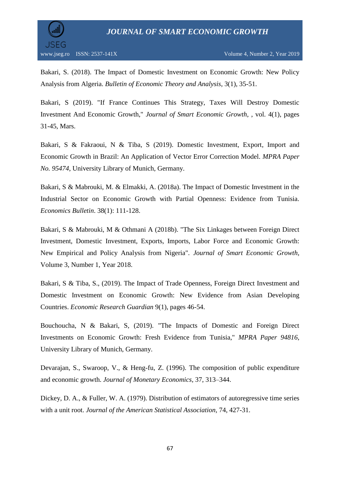

Bakari, S. (2018). The Impact of Domestic Investment on Economic Growth: New Policy Analysis from Algeria. *Bulletin of Economic Theory and Analysis*, 3(1), 35-51.

Bakari, S (2019). "If France Continues This Strategy, Taxes Will Destroy Domestic Investment And Economic Growth," *Journal of Smart Economic Growth*, , vol. 4(1), pages 31-45, Mars.

Bakari, S & Fakraoui, N & Tiba, S (2019). Domestic Investment, Export, Import and Economic Growth in Brazil: An Application of Vector Error Correction Model. *MPRA Paper No. 95474*, University Library of Munich, Germany.

Bakari, S & Mabrouki, M. & Elmakki, A. (2018a). The Impact of Domestic Investment in the Industrial Sector on Economic Growth with Partial Openness: Evidence from Tunisia. *Economics Bulletin*. 38(1): 111-128.

Bakari, S & Mabrouki, M & Othmani A (2018b). "The Six Linkages between Foreign Direct Investment, Domestic Investment, Exports, Imports, Labor Force and Economic Growth: New Empirical and Policy Analysis from Nigeria". *Journal of Smart Economic Growth*, Volume 3, Number 1, Year 2018.

Bakari, S & Tiba, S., (2019). The Impact of Trade Openness, Foreign Direct Investment and Domestic Investment on Economic Growth: New Evidence from Asian Developing Countries. *Economic Research Guardian* 9(1), pages 46-54.

Bouchoucha, N & Bakari, S, (2019). "The Impacts of Domestic and Foreign Direct Investments on Economic Growth: Fresh Evidence from Tunisia," *MPRA Paper 94816*, University Library of Munich, Germany.

Devarajan, S., Swaroop, V., & Heng-fu, Z. (1996). The composition of public expenditure and economic growth. *Journal of Monetary Economics*, 37, 313–344.

Dickey, D. A., & Fuller, W. A. (1979). Distribution of estimators of autoregressive time series with a unit root. *Journal of the American Statistical Association*, 74, 427-31.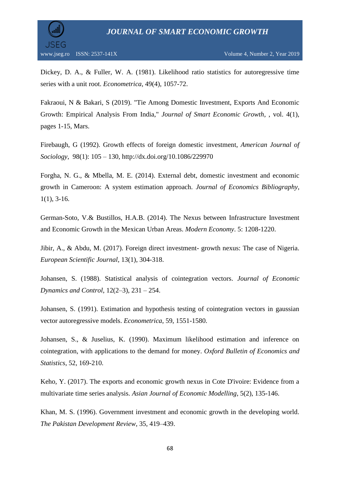

Dickey, D. A., & Fuller, W. A. (1981). Likelihood ratio statistics for autoregressive time series with a unit root. *Econometrica*, 49(4), 1057-72.

Fakraoui, N & Bakari, S (2019). "Tie Among Domestic Investment, Exports And Economic Growth: Empirical Analysis From India," *Journal of Smart Economic Growth*, , vol. 4(1), pages 1-15, Mars.

Firebaugh, G (1992). Growth effects of foreign domestic investment, *American Journal of Sociology*, 98(1): 105 – 130, http://dx.doi.org/10.1086/229970

Forgha, N. G., & Mbella, M. E. (2014). External debt, domestic investment and economic growth in Cameroon: A system estimation approach. *Journal of Economics Bibliography*,  $1(1)$ , 3-16.

German-Soto, V.& Bustillos, H.A.B. (2014). The Nexus between Infrastructure Investment and Economic Growth in the Mexican Urban Areas. *Modern Economy*. 5: 1208-1220.

Jibir, A., & Abdu, M. (2017). Foreign direct investment- growth nexus: The case of Nigeria. *European Scientific Journal*, 13(1), 304-318.

Johansen, S. (1988). Statistical analysis of cointegration vectors. *Journal of Economic Dynamics and Control*, 12(2–3), 231 – 254.

Johansen, S. (1991). Estimation and hypothesis testing of cointegration vectors in gaussian vector autoregressive models. *Econometrica*, 59, 1551-1580.

Johansen, S., & Juselius, K. (1990). Maximum likelihood estimation and inference on cointegration, with applications to the demand for money. *Oxford Bulletin of Economics and Statistics*, 52, 169-210.

Keho, Y. (2017). The exports and economic growth nexus in Cote D'ivoire: Evidence from a multivariate time series analysis. *Asian Journal of Economic Modelling*, 5(2), 135-146.

Khan, M. S. (1996). Government investment and economic growth in the developing world. *The Pakistan Development Review*, 35, 419–439.